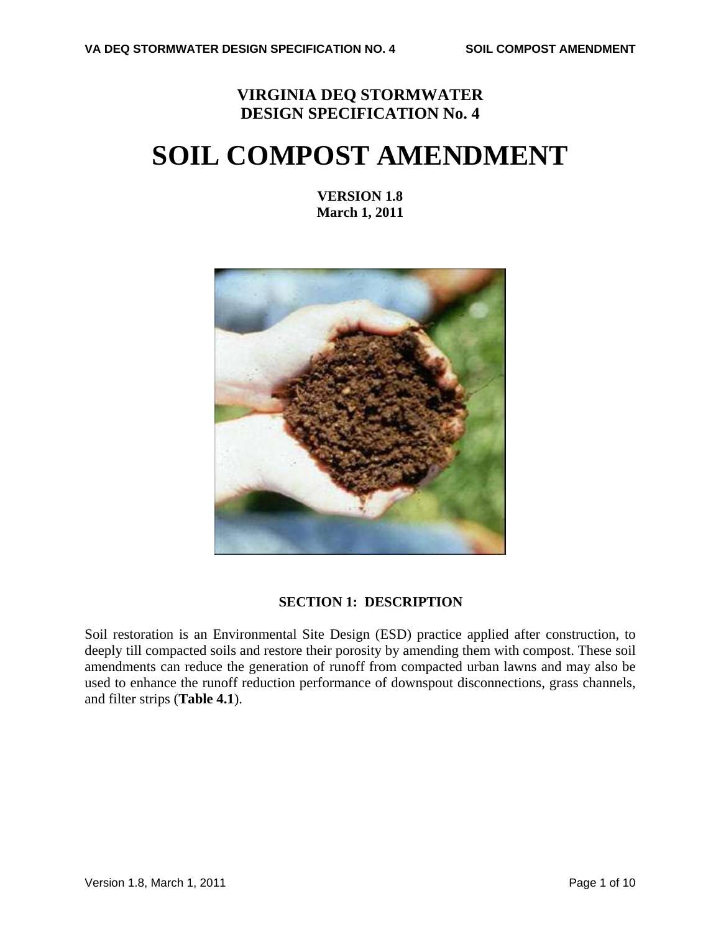## **VIRGINIA DEQ STORMWATER DESIGN SPECIFICATION No. 4**

# **SOIL COMPOST AMENDMENT**

**VERSION 1.8 March 1, 2011**



### **SECTION 1: DESCRIPTION**

Soil restoration is an Environmental Site Design (ESD) practice applied after construction, to deeply till compacted soils and restore their porosity by amending them with compost. These soil amendments can reduce the generation of runoff from compacted urban lawns and may also be used to enhance the runoff reduction performance of downspout disconnections, grass channels, and filter strips (**Table 4.1**).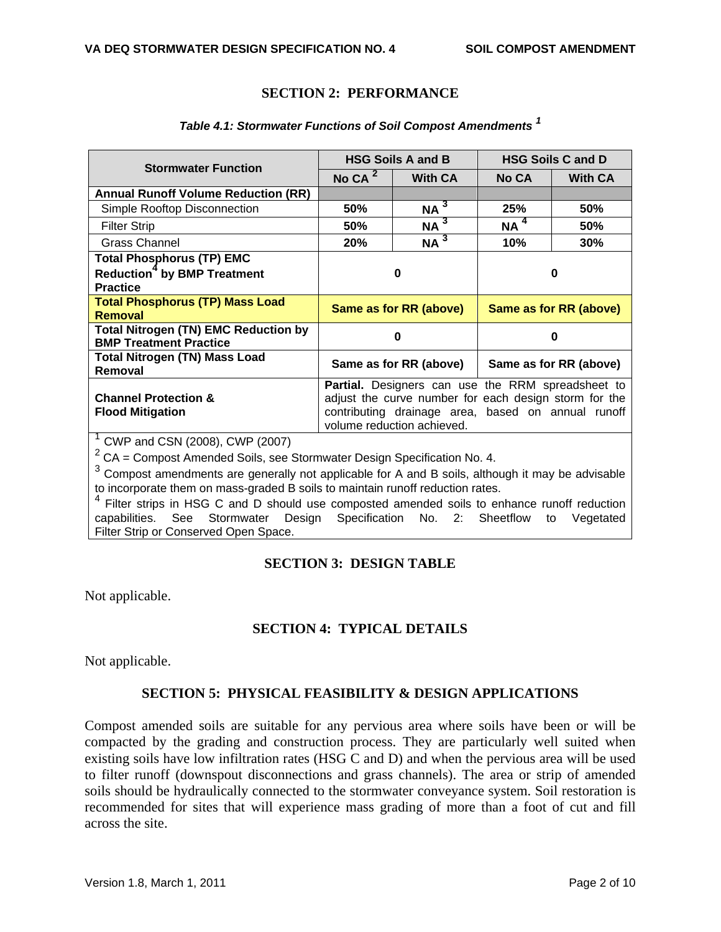#### **SECTION 2: PERFORMANCE**

| <b>Stormwater Function</b>                                                   | <b>HSG Soils A and B</b>                              |                            | <b>HSG Soils C and D</b> |                |
|------------------------------------------------------------------------------|-------------------------------------------------------|----------------------------|--------------------------|----------------|
|                                                                              | No CA $^2$                                            | <b>With CA</b>             | <b>No CA</b>             | <b>With CA</b> |
| <b>Annual Runoff Volume Reduction (RR)</b>                                   |                                                       |                            |                          |                |
| Simple Rooftop Disconnection                                                 | 50%                                                   | $NA^3$                     | 25%                      | <b>50%</b>     |
| <b>Filter Strip</b>                                                          | 50%                                                   | $NA^3$                     | $NA^4$                   | <b>50%</b>     |
| Grass Channel                                                                | 20%                                                   | $NA^3$                     | 10%                      | 30%            |
| <b>Total Phosphorus (TP) EMC</b>                                             |                                                       |                            |                          |                |
| <b>Reduction<sup>4</sup></b> by BMP Treatment                                | 0                                                     |                            | 0                        |                |
| <b>Practice</b>                                                              |                                                       |                            |                          |                |
| <b>Total Phosphorus (TP) Mass Load</b><br><b>Removal</b>                     | Same as for RR (above)                                |                            | Same as for RR (above)   |                |
| <b>Total Nitrogen (TN) EMC Reduction by</b><br><b>BMP Treatment Practice</b> | 0                                                     |                            | 0                        |                |
| <b>Total Nitrogen (TN) Mass Load</b><br>Removal                              | Same as for RR (above)<br>Same as for RR (above)      |                            |                          |                |
|                                                                              | Partial. Designers can use the RRM spreadsheet to     |                            |                          |                |
| <b>Channel Protection &amp;</b>                                              | adjust the curve number for each design storm for the |                            |                          |                |
| <b>Flood Mitigation</b>                                                      | contributing drainage area, based on annual runoff    |                            |                          |                |
| $\sim$ $\sim$ $\sim$<br>$(0.011)(0.000)$ $(111)$ $(0.000)$                   |                                                       | volume reduction achieved. |                          |                |

#### *Table 4.1: Stormwater Functions of Soil Compost Amendments <sup>1</sup>*

<sup>1</sup> CWP and CSN (2008), CWP (2007)<br><sup>2</sup> CA = Compost Amended Soils, see Stormwater Design Specification No. 4.

 $3$  Compost amendments are generally not applicable for A and B soils, although it may be advisable to incorporate them on mass-graded B soils to maintain runoff reduction rates.

<sup>4</sup> Filter strips in HSG C and D should use composted amended soils to enhance runoff reduction capabilities. See Stormwater Design Specification No. 2: Sheetflow to Vegetated Filter Strip or Conserved Open Space.

#### **SECTION 3: DESIGN TABLE**

Not applicable.

#### **SECTION 4: TYPICAL DETAILS**

Not applicable.

#### **SECTION 5: PHYSICAL FEASIBILITY & DESIGN APPLICATIONS**

Compost amended soils are suitable for any pervious area where soils have been or will be compacted by the grading and construction process. They are particularly well suited when existing soils have low infiltration rates (HSG C and D) and when the pervious area will be used to filter runoff (downspout disconnections and grass channels). The area or strip of amended soils should be hydraulically connected to the stormwater conveyance system. Soil restoration is recommended for sites that will experience mass grading of more than a foot of cut and fill across the site.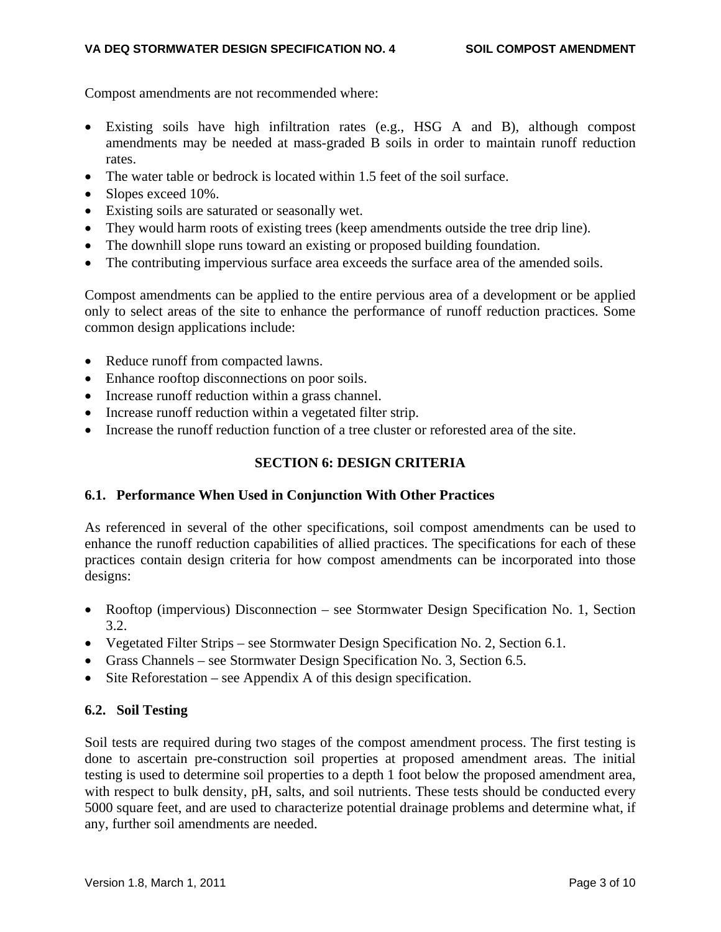Compost amendments are not recommended where:

- Existing soils have high infiltration rates (e.g., HSG A and B), although compost amendments may be needed at mass-graded B soils in order to maintain runoff reduction rates.
- The water table or bedrock is located within 1.5 feet of the soil surface.
- Slopes exceed 10%.
- Existing soils are saturated or seasonally wet.
- They would harm roots of existing trees (keep amendments outside the tree drip line).
- The downhill slope runs toward an existing or proposed building foundation.
- The contributing impervious surface area exceeds the surface area of the amended soils.

Compost amendments can be applied to the entire pervious area of a development or be applied only to select areas of the site to enhance the performance of runoff reduction practices. Some common design applications include:

- Reduce runoff from compacted lawns.
- Enhance rooftop disconnections on poor soils.
- Increase runoff reduction within a grass channel.
- Increase runoff reduction within a vegetated filter strip.
- Increase the runoff reduction function of a tree cluster or reforested area of the site.

#### **SECTION 6: DESIGN CRITERIA**

#### **6.1. Performance When Used in Conjunction With Other Practices**

As referenced in several of the other specifications, soil compost amendments can be used to enhance the runoff reduction capabilities of allied practices. The specifications for each of these practices contain design criteria for how compost amendments can be incorporated into those designs:

- Rooftop (impervious) Disconnection see Stormwater Design Specification No. 1, Section 3.2.
- Vegetated Filter Strips see Stormwater Design Specification No. 2, Section 6.1.
- Grass Channels see Stormwater Design Specification No. 3, Section 6.5.
- $\bullet$  Site Reforestation see Appendix A of this design specification.

#### **6.2. Soil Testing**

Soil tests are required during two stages of the compost amendment process. The first testing is done to ascertain pre-construction soil properties at proposed amendment areas. The initial testing is used to determine soil properties to a depth 1 foot below the proposed amendment area, with respect to bulk density, pH, salts, and soil nutrients. These tests should be conducted every 5000 square feet, and are used to characterize potential drainage problems and determine what, if any, further soil amendments are needed.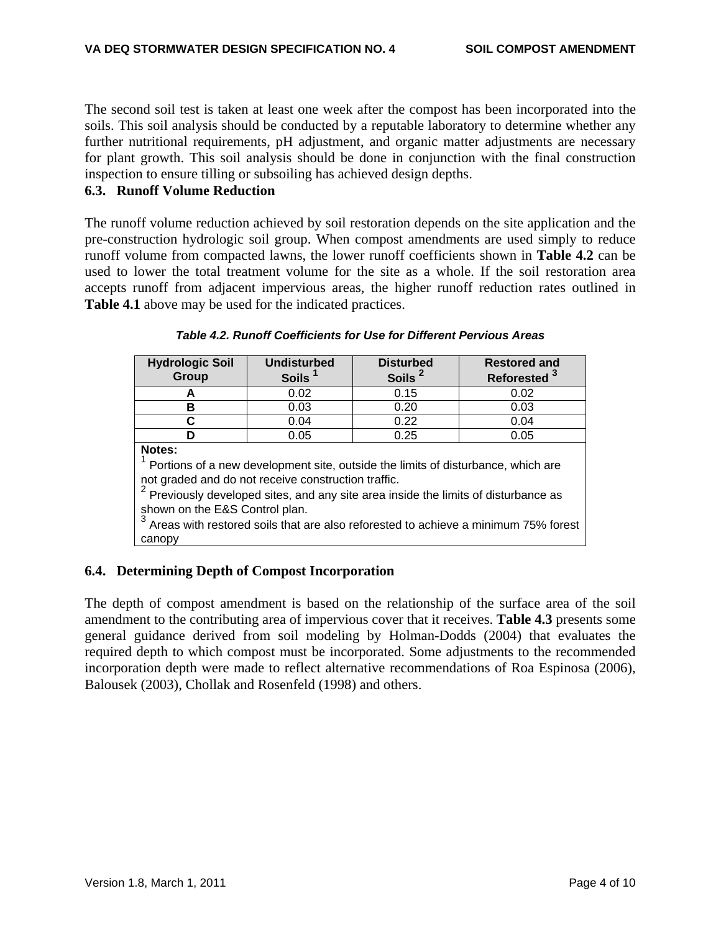The second soil test is taken at least one week after the compost has been incorporated into the soils. This soil analysis should be conducted by a reputable laboratory to determine whether any further nutritional requirements, pH adjustment, and organic matter adjustments are necessary for plant growth. This soil analysis should be done in conjunction with the final construction inspection to ensure tilling or subsoiling has achieved design depths.

#### **6.3. Runoff Volume Reduction**

The runoff volume reduction achieved by soil restoration depends on the site application and the pre-construction hydrologic soil group. When compost amendments are used simply to reduce runoff volume from compacted lawns, the lower runoff coefficients shown in **Table 4.2** can be used to lower the total treatment volume for the site as a whole. If the soil restoration area accepts runoff from adjacent impervious areas, the higher runoff reduction rates outlined in **Table 4.1** above may be used for the indicated practices.

| <b>Hydrologic Soil</b>                                                                  | <b>Undisturbed</b> | <b>Disturbed</b> | <b>Restored and</b> |  |  |  |
|-----------------------------------------------------------------------------------------|--------------------|------------------|---------------------|--|--|--|
| Group                                                                                   | <b>Soils</b>       | <b>Soils</b>     | <b>Reforested</b>   |  |  |  |
| А                                                                                       | 0.02               | 0.15             | 0.02                |  |  |  |
| в                                                                                       | 0.03               | 0.20             | 0.03                |  |  |  |
| C                                                                                       | 0.04               | 0.22             | 0.04                |  |  |  |
|                                                                                         | 0.05               | 0.25             | 0.05                |  |  |  |
| <b>Notes:</b>                                                                           |                    |                  |                     |  |  |  |
| Portions of a new development site, outside the limits of disturbance, which are        |                    |                  |                     |  |  |  |
| not graded and do not receive construction traffic.                                     |                    |                  |                     |  |  |  |
| $2$ Previously developed sites, and any site area inside the limits of disturbance as   |                    |                  |                     |  |  |  |
| shown on the E&S Control plan.                                                          |                    |                  |                     |  |  |  |
| 3<br>Areas with restored soils that are also reforested to achieve a minimum 75% forest |                    |                  |                     |  |  |  |
| canopy                                                                                  |                    |                  |                     |  |  |  |

### **6.4. Determining Depth of Compost Incorporation**

The depth of compost amendment is based on the relationship of the surface area of the soil amendment to the contributing area of impervious cover that it receives. **Table 4.3** presents some general guidance derived from soil modeling by Holman-Dodds (2004) that evaluates the required depth to which compost must be incorporated. Some adjustments to the recommended incorporation depth were made to reflect alternative recommendations of Roa Espinosa (2006), Balousek (2003), Chollak and Rosenfeld (1998) and others.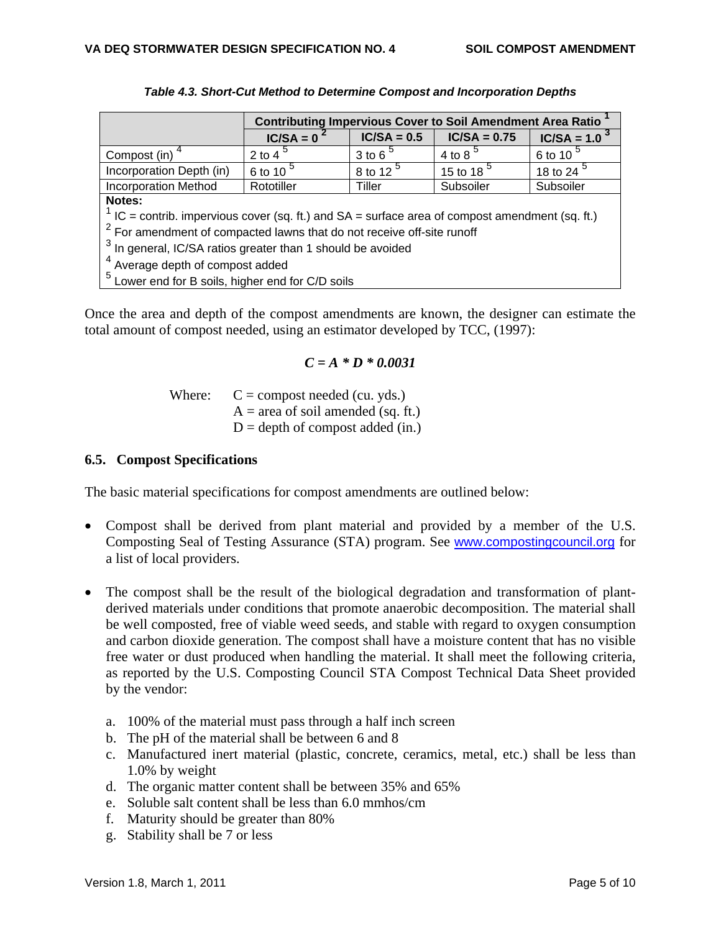|                                                                                                   | <b>Contributing Impervious Cover to Soil Amendment Area Ratio</b> |                      |                |                      |  |  |  |
|---------------------------------------------------------------------------------------------------|-------------------------------------------------------------------|----------------------|----------------|----------------------|--|--|--|
|                                                                                                   | $IC/SA = 0$                                                       | $IC/SA = 0.5$        | $IC/SA = 0.75$ | $IC/SA = 1.0^{3}$    |  |  |  |
| Compost (in)                                                                                      | 2 to 4 $\frac{5}{2}$                                              | 3 to 6 $5$           | 4 to 8 $5$     | 6 to 10 <sup>5</sup> |  |  |  |
| Incorporation Depth (in)                                                                          | 6 to 10 <sup>5</sup>                                              | 8 to 12 <sup>5</sup> | 15 to 18 $^5$  | 18 to 24 $^5$        |  |  |  |
| <b>Incorporation Method</b>                                                                       | Rototiller                                                        | Tiller               | Subsoiler      | Subsoiler            |  |  |  |
| Notes:                                                                                            |                                                                   |                      |                |                      |  |  |  |
| $1$ IC = contrib. impervious cover (sq. ft.) and SA = surface area of compost amendment (sq. ft.) |                                                                   |                      |                |                      |  |  |  |
| <sup>2</sup> For amendment of compacted lawns that do not receive off-site runoff                 |                                                                   |                      |                |                      |  |  |  |
| $3$ In general, IC/SA ratios greater than 1 should be avoided                                     |                                                                   |                      |                |                      |  |  |  |
| <sup>4</sup> Average depth of compost added                                                       |                                                                   |                      |                |                      |  |  |  |
| <sup>5</sup> Lower end for B soils, higher end for C/D soils                                      |                                                                   |                      |                |                      |  |  |  |

*Table 4.3. Short-Cut Method to Determine Compost and Incorporation Depths*

Once the area and depth of the compost amendments are known, the designer can estimate the total amount of compost needed, using an estimator developed by TCC, (1997):

#### *C = A \* D \* 0.0031*

Where:  $C =$  compost needed (cu. yds.)  $A = \text{area of soil amended (sq. ft.)}$  $D =$  depth of compost added (in.)

#### **6.5. Compost Specifications**

The basic material specifications for compost amendments are outlined below:

- Compost shall be derived from plant material and provided by a member of the U.S. Composting Seal of Testing Assurance (STA) program. See www.compostingcouncil.org for a list of local providers.
- The compost shall be the result of the biological degradation and transformation of plantderived materials under conditions that promote anaerobic decomposition. The material shall be well composted, free of viable weed seeds, and stable with regard to oxygen consumption and carbon dioxide generation. The compost shall have a moisture content that has no visible free water or dust produced when handling the material. It shall meet the following criteria, as reported by the U.S. Composting Council STA Compost Technical Data Sheet provided by the vendor:
	- a. 100% of the material must pass through a half inch screen
	- b. The pH of the material shall be between 6 and 8
	- c. Manufactured inert material (plastic, concrete, ceramics, metal, etc.) shall be less than 1.0% by weight
	- d. The organic matter content shall be between 35% and 65%
	- e. Soluble salt content shall be less than 6.0 mmhos/cm
	- f. Maturity should be greater than 80%
	- g. Stability shall be 7 or less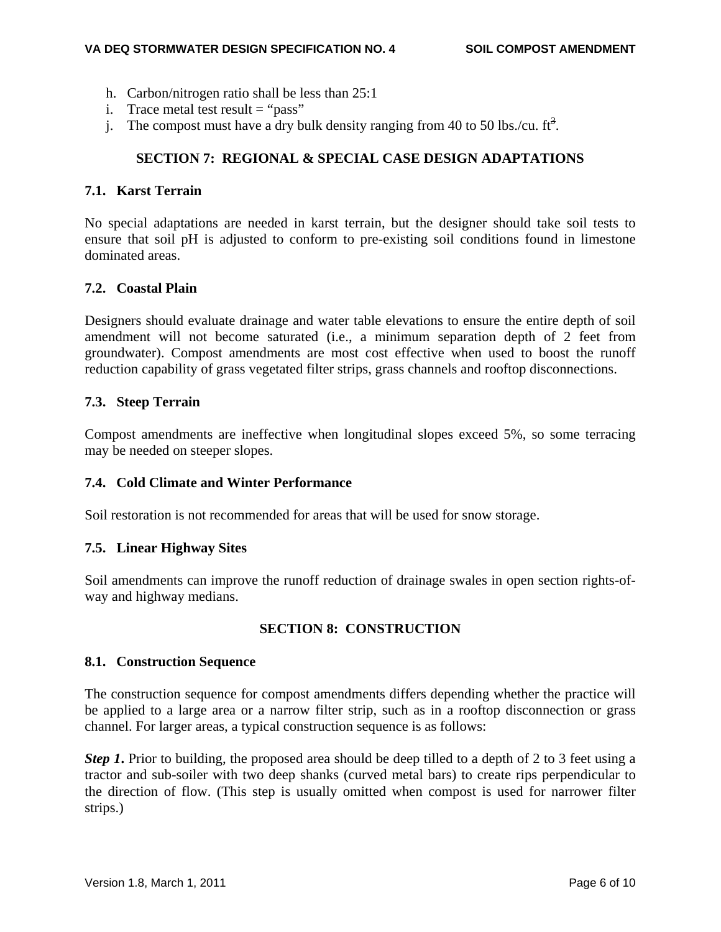- h. Carbon/nitrogen ratio shall be less than 25:1
- i. Trace metal test result  $=$  "pass"
- j. The compost must have a dry bulk density ranging from 40 to 50 lbs./cu.  $\text{ft}^3$ .

#### **SECTION 7: REGIONAL & SPECIAL CASE DESIGN ADAPTATIONS**

#### **7.1. Karst Terrain**

No special adaptations are needed in karst terrain, but the designer should take soil tests to ensure that soil pH is adjusted to conform to pre-existing soil conditions found in limestone dominated areas.

#### **7.2. Coastal Plain**

Designers should evaluate drainage and water table elevations to ensure the entire depth of soil amendment will not become saturated (i.e., a minimum separation depth of 2 feet from groundwater). Compost amendments are most cost effective when used to boost the runoff reduction capability of grass vegetated filter strips, grass channels and rooftop disconnections.

#### **7.3. Steep Terrain**

Compost amendments are ineffective when longitudinal slopes exceed 5%, so some terracing may be needed on steeper slopes.

#### **7.4. Cold Climate and Winter Performance**

Soil restoration is not recommended for areas that will be used for snow storage.

#### **7.5. Linear Highway Sites**

Soil amendments can improve the runoff reduction of drainage swales in open section rights-ofway and highway medians.

#### **SECTION 8: CONSTRUCTION**

#### **8.1. Construction Sequence**

The construction sequence for compost amendments differs depending whether the practice will be applied to a large area or a narrow filter strip, such as in a rooftop disconnection or grass channel. For larger areas, a typical construction sequence is as follows:

*Step 1*. Prior to building, the proposed area should be deep tilled to a depth of 2 to 3 feet using a tractor and sub-soiler with two deep shanks (curved metal bars) to create rips perpendicular to the direction of flow. (This step is usually omitted when compost is used for narrower filter strips.)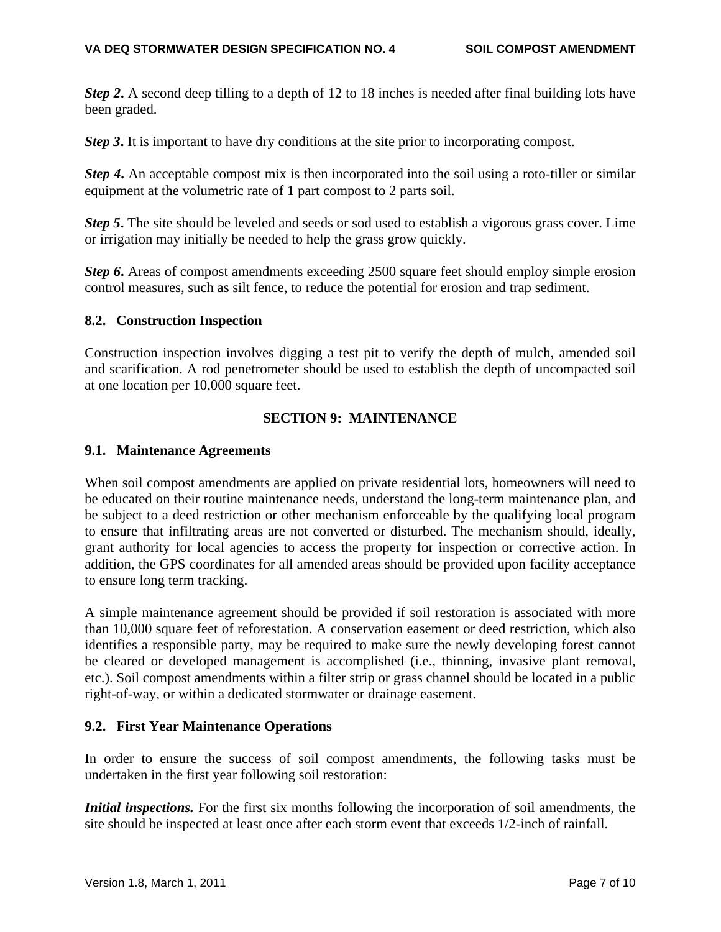*Step 2***.** A second deep tilling to a depth of 12 to 18 inches is needed after final building lots have been graded.

*Step 3*. It is important to have dry conditions at the site prior to incorporating compost.

*Step 4***.** An acceptable compost mix is then incorporated into the soil using a roto-tiller or similar equipment at the volumetric rate of 1 part compost to 2 parts soil.

*Step 5***.** The site should be leveled and seeds or sod used to establish a vigorous grass cover. Lime or irrigation may initially be needed to help the grass grow quickly.

*Step 6*. Areas of compost amendments exceeding 2500 square feet should employ simple erosion control measures, such as silt fence, to reduce the potential for erosion and trap sediment.

#### **8.2. Construction Inspection**

Construction inspection involves digging a test pit to verify the depth of mulch, amended soil and scarification. A rod penetrometer should be used to establish the depth of uncompacted soil at one location per 10,000 square feet.

#### **SECTION 9: MAINTENANCE**

#### **9.1. Maintenance Agreements**

When soil compost amendments are applied on private residential lots, homeowners will need to be educated on their routine maintenance needs, understand the long-term maintenance plan, and be subject to a deed restriction or other mechanism enforceable by the qualifying local program to ensure that infiltrating areas are not converted or disturbed. The mechanism should, ideally, grant authority for local agencies to access the property for inspection or corrective action. In addition, the GPS coordinates for all amended areas should be provided upon facility acceptance to ensure long term tracking.

A simple maintenance agreement should be provided if soil restoration is associated with more than 10,000 square feet of reforestation. A conservation easement or deed restriction, which also identifies a responsible party, may be required to make sure the newly developing forest cannot be cleared or developed management is accomplished (i.e., thinning, invasive plant removal, etc.). Soil compost amendments within a filter strip or grass channel should be located in a public right-of-way, or within a dedicated stormwater or drainage easement.

#### **9.2. First Year Maintenance Operations**

In order to ensure the success of soil compost amendments, the following tasks must be undertaken in the first year following soil restoration:

*Initial inspections.* For the first six months following the incorporation of soil amendments, the site should be inspected at least once after each storm event that exceeds 1/2-inch of rainfall.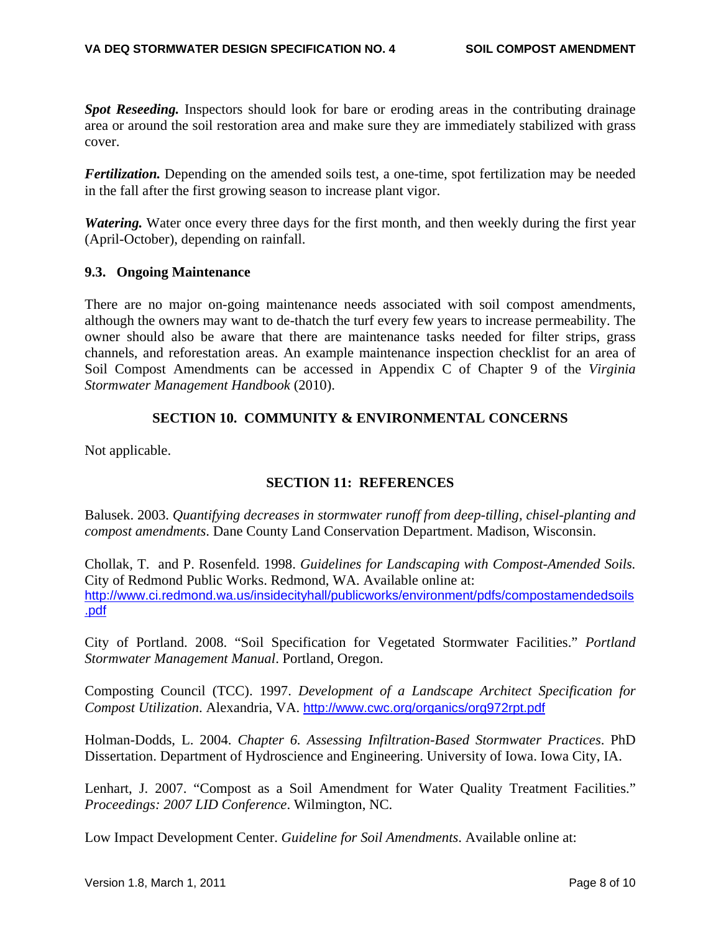*Spot Reseeding.* Inspectors should look for bare or eroding areas in the contributing drainage area or around the soil restoration area and make sure they are immediately stabilized with grass cover.

*Fertilization.* Depending on the amended soils test, a one-time, spot fertilization may be needed in the fall after the first growing season to increase plant vigor.

*Watering.* Water once every three days for the first month, and then weekly during the first year (April-October), depending on rainfall.

#### **9.3. Ongoing Maintenance**

There are no major on-going maintenance needs associated with soil compost amendments, although the owners may want to de-thatch the turf every few years to increase permeability. The owner should also be aware that there are maintenance tasks needed for filter strips, grass channels, and reforestation areas. An example maintenance inspection checklist for an area of Soil Compost Amendments can be accessed in Appendix C of Chapter 9 of the *Virginia Stormwater Management Handbook* (2010).

#### **SECTION 10. COMMUNITY & ENVIRONMENTAL CONCERNS**

Not applicable.

#### **SECTION 11: REFERENCES**

Balusek. 2003. *Quantifying decreases in stormwater runoff from deep-tilling, chisel-planting and compost amendments*. Dane County Land Conservation Department. Madison, Wisconsin.

Chollak, T. and P. Rosenfeld. 1998. *Guidelines for Landscaping with Compost-Amended Soils.* City of Redmond Public Works. Redmond, WA. Available online at: http://www.ci.redmond.wa.us/insidecityhall/publicworks/environment/pdfs/compostamendedsoils .pdf

City of Portland. 2008. "Soil Specification for Vegetated Stormwater Facilities." *Portland Stormwater Management Manual*. Portland, Oregon.

Composting Council (TCC). 1997. *Development of a Landscape Architect Specification for Compost Utilization*. Alexandria, VA. http://www.cwc.org/organics/org972rpt.pdf

Holman-Dodds, L. 2004. *Chapter 6. Assessing Infiltration-Based Stormwater Practices*. PhD Dissertation. Department of Hydroscience and Engineering. University of Iowa. Iowa City, IA.

Lenhart, J. 2007. "Compost as a Soil Amendment for Water Quality Treatment Facilities." *Proceedings: 2007 LID Conference*. Wilmington, NC.

Low Impact Development Center. *Guideline for Soil Amendments*. Available online at: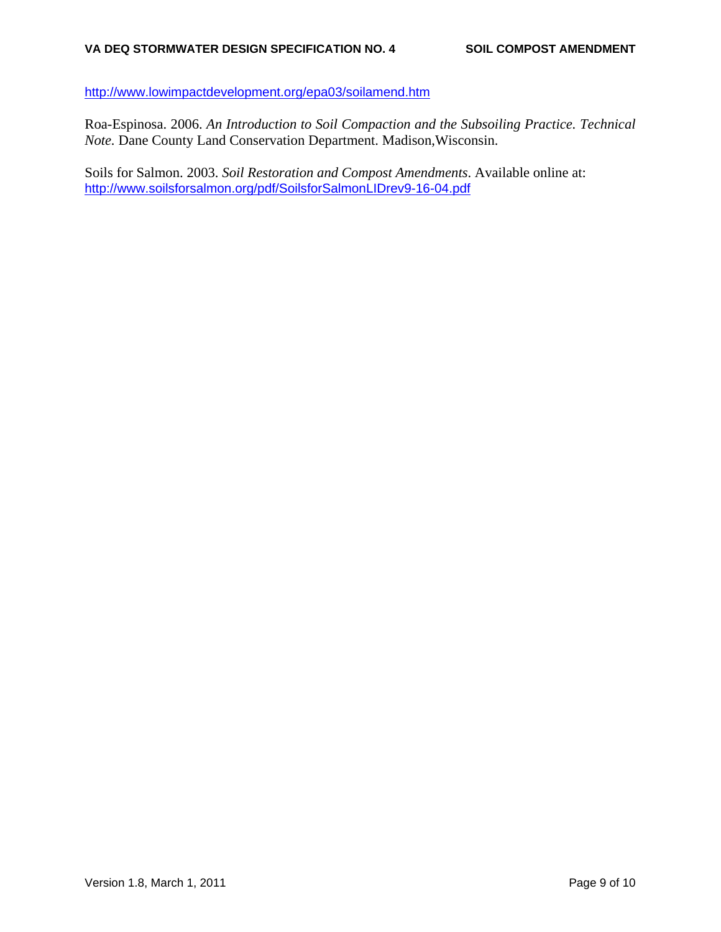http://www.lowimpactdevelopment.org/epa03/soilamend.htm

Roa-Espinosa. 2006. *An Introduction to Soil Compaction and the Subsoiling Practice. Technical Note.* Dane County Land Conservation Department. Madison,Wisconsin.

Soils for Salmon. 2003. *Soil Restoration and Compost Amendments*. Available online at: http://www.soilsforsalmon.org/pdf/SoilsforSalmonLIDrev9-16-04.pdf